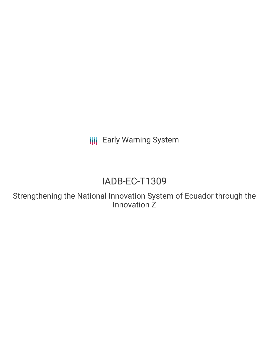**III** Early Warning System

# IADB-EC-T1309

Strengthening the National Innovation System of Ecuador through the Innovation Z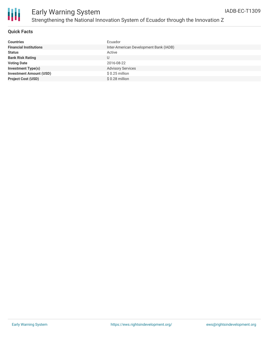

### **Quick Facts**

| <b>Countries</b>               | Ecuador                                |
|--------------------------------|----------------------------------------|
| <b>Financial Institutions</b>  | Inter-American Development Bank (IADB) |
| <b>Status</b>                  | Active                                 |
| <b>Bank Risk Rating</b>        | U                                      |
| <b>Voting Date</b>             | 2016-08-22                             |
| <b>Investment Type(s)</b>      | <b>Advisory Services</b>               |
| <b>Investment Amount (USD)</b> | $$0.25$ million                        |
| <b>Project Cost (USD)</b>      | $$0.28$ million                        |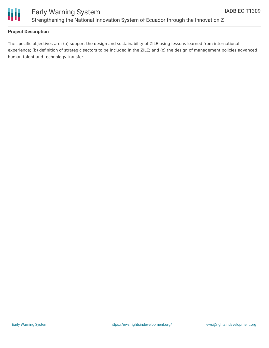

## Early Warning System Strengthening the National Innovation System of Ecuador through the Innovation Z

### **Project Description**

The specific objectives are: (a) support the design and sustainability of ZILE using lessons learned from international experience; (b) definition of strategic sectors to be included in the ZILE; and (c) the design of management policies advanced human talent and technology transfer.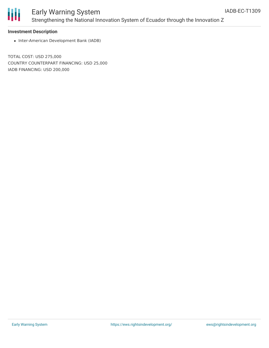

# Early Warning System Strengthening the National Innovation System of Ecuador through the Innovation Z

### **Investment Description**

• Inter-American Development Bank (IADB)

TOTAL COST: USD 275,000 COUNTRY COUNTERPART FINANCING: USD 25,000 IADB FINANCING: USD 200,000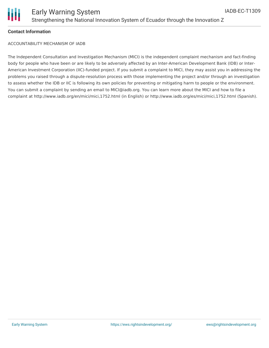

### **Contact Information**

ACCOUNTABILITY MECHANISM OF IADB

The Independent Consultation and Investigation Mechanism (MICI) is the independent complaint mechanism and fact-finding body for people who have been or are likely to be adversely affected by an Inter-American Development Bank (IDB) or Inter-American Investment Corporation (IIC)-funded project. If you submit a complaint to MICI, they may assist you in addressing the problems you raised through a dispute-resolution process with those implementing the project and/or through an investigation to assess whether the IDB or IIC is following its own policies for preventing or mitigating harm to people or the environment. You can submit a complaint by sending an email to MICI@iadb.org. You can learn more about the MICI and how to file a complaint at http://www.iadb.org/en/mici/mici,1752.html (in English) or http://www.iadb.org/es/mici/mici,1752.html (Spanish).